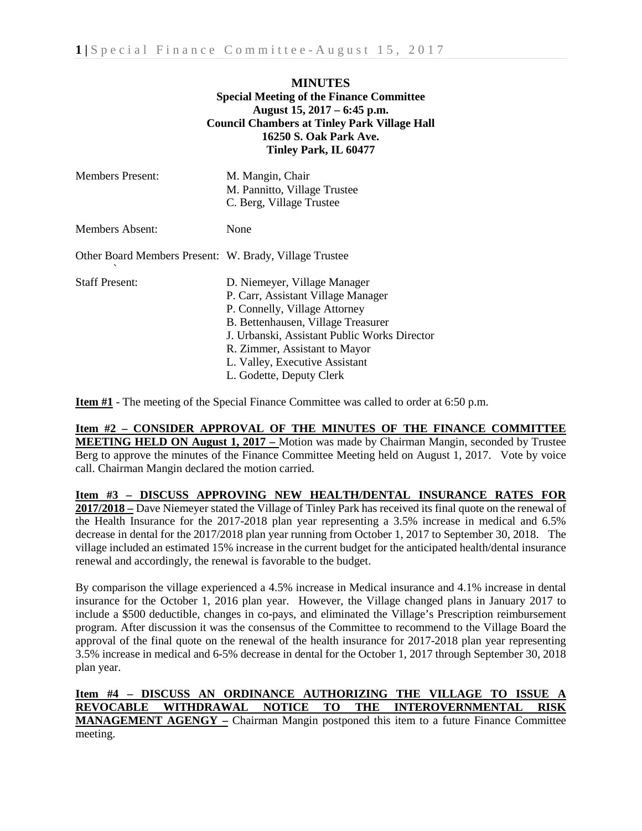## **MINUTES Special Meeting of the Finance Committee August 15, 2017 – 6:45 p.m. Council Chambers at Tinley Park Village Hall 16250 S. Oak Park Ave. Tinley Park, IL 60477**

| <b>Members Present:</b>                                | M. Mangin, Chair<br>M. Pannitto, Village Trustee<br>C. Berg, Village Trustee                                                                                                                                                                                                             |
|--------------------------------------------------------|------------------------------------------------------------------------------------------------------------------------------------------------------------------------------------------------------------------------------------------------------------------------------------------|
| Members Absent:                                        | None                                                                                                                                                                                                                                                                                     |
| Other Board Members Present: W. Brady, Village Trustee |                                                                                                                                                                                                                                                                                          |
| <b>Staff Present:</b>                                  | D. Niemeyer, Village Manager<br>P. Carr, Assistant Village Manager<br>P. Connelly, Village Attorney<br>B. Bettenhausen, Village Treasurer<br>J. Urbanski, Assistant Public Works Director<br>R. Zimmer, Assistant to Mayor<br>L. Valley, Executive Assistant<br>L. Godette, Deputy Clerk |

**Item #1** - The meeting of the Special Finance Committee was called to order at 6:50 p.m.

## **Item #2 – CONSIDER APPROVAL OF THE MINUTES OF THE FINANCE COMMITTEE MEETING HELD ON August 1, 2017 –** Motion was made by Chairman Mangin, seconded by Trustee Berg to approve the minutes of the Finance Committee Meeting held on August 1, 2017. Vote by voice call. Chairman Mangin declared the motion carried.

**Item #3 – DISCUSS APPROVING NEW HEALTH/DENTAL INSURANCE RATES FOR 2017/2018 –** Dave Niemeyer stated the Village of Tinley Park has received its final quote on the renewal of the Health Insurance for the 2017-2018 plan year representing a 3.5% increase in medical and 6.5% decrease in dental for the 2017/2018 plan year running from October 1, 2017 to September 30, 2018. The village included an estimated 15% increase in the current budget for the anticipated health/dental insurance renewal and accordingly, the renewal is favorable to the budget.

By comparison the village experienced a 4.5% increase in Medical insurance and 4.1% increase in dental insurance for the October 1, 2016 plan year. However, the Village changed plans in January 2017 to include a \$500 deductible, changes in co-pays, and eliminated the Village's Prescription reimbursement program. After discussion it was the consensus of the Committee to recommend to the Village Board the approval of the final quote on the renewal of the health insurance for 2017-2018 plan year representing 3.5% increase in medical and 6-5% decrease in dental for the October 1, 2017 through September 30, 2018 plan year.

**Item #4 – DISCUSS AN ORDINANCE AUTHORIZING THE VILLAGE TO ISSUE A REVOCABLE WITHDRAWAL NOTICE TO THE INTEROVERNMENTAL RISK MANAGEMENT AGENGY –** Chairman Mangin postponed this item to a future Finance Committee meeting.